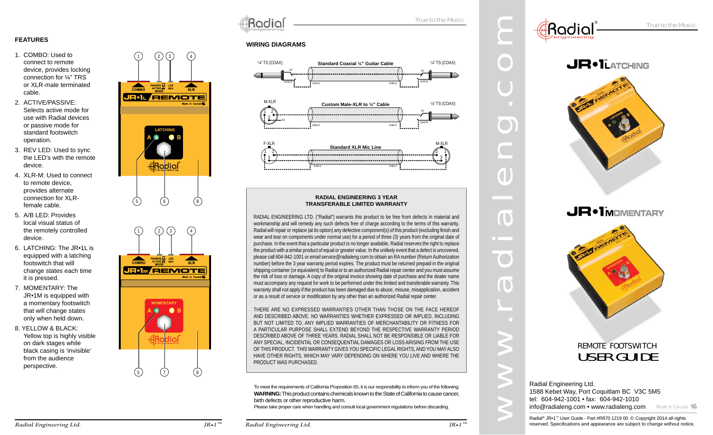### **FEATURES**

- 1. COMBO: Used to connect to remote device, provides locking connection for ¼" TRS or XLR-male terminated cable.
- 2. ACTIVE/PASSIVE: Selects active mode for use with Radial devices or passive mode for standard footswitch operation.
- 3. REV LED: Used to sync the LED's with the remote device.
- 4. XLR-M: Used to connect to remote device, provides alternate connection for XLRfemale cable.
- 5. A/B LED: Provides local visual status of the remotely controlled device.
- 6. LATCHING: The JR•1L is equipped with a latching footswitch that will change states each time it is pressed.
- 7. MOMENTARY: The JR•1M is equipped with a momentary footswitch that will change states only when held down.
- 8. YELLOW & BLACK: Yellow top is highly visible on dark stages while black casing is 'invisible' from the audience perspective.





Radial

# True to the Music

#### **WIRING DIAGRAMS**





#### **RADIAL ENGINEERING 3 YEAR TRANSFERABLE LIMITED WARRANTY**

RADIAL ENGINEERING LTD. ("Radial") warrants this product to be free from defects in material and workmanship and will remedy any such defects free of charge according to the terms of this warranty. Radial will repair or replace (at its option) any defective component(s) of this product (excluding finish and wear and tear on components under normal use) for a period of three (3) years from the original date of purchase. In the event that a particular product is no longer available, Radial reserves the right to replace the product with a similar product of equal or greater value. In the unlikely event that a defect is uncovered, please call 604-942-1001 or email service@radialeng.com to obtain an RA number (Return Authorization number) before the 3 year warranty period expires. The product must be returned prepaid in the original shipping container (or equivalent) to Radial or to an authorized Radial repair center and you must assume the risk of loss or damage. A copy of the original invoice showing date of purchase and the dealer name must accompany any request for work to be performed under this limited and transferable warranty. This warranty shall not apply if the product has been damaged due to abuse, misuse, misapplication, accident or as a result of service or modification by any other than an authorized Radial repair center.

THERE ARE NO EXPRESSED WARRANTIES OTHER THAN THOSE ON THE FACE HEREOF AND DESCRIBED ABOVE. NO WARRANTIES WHETHER EXPRESSED OR IMPLIED, INCLUDING BUT NOT LIMITED TO, ANY IMPLIED WARRANTIES OF MERCHANTABILITY OR FITNESS FOR A PARTICULAR PURPOSE SHALL EXTEND BEYOND THE RESPECTIVE WARRANTY PERIOD DESCRIBED ABOVE OF THREE YEARS. RADIAL SHALL NOT BE RESPONSIBLE OR LIABLE FOR ANY SPECIAL, INCIDENTAL OR CONSEQUENTIAL DAMAGES OR LOSS ARISING FROM THE USE OF THIS PRODUCT. THIS WARRANTY GIVES YOU SPECIFIC LEGAL RIGHTS, AND YOU MAY ALSO HAVE OTHER RIGHTS, WHICH MAY VARY DEPENDING ON WHERE YOU LIVE AND WHERE THE PRODUCT WAS PURCHASED.

To meet the requirements of California Proposition 65, it is our responsibility to inform you of the following: **WARNING:** This product contains chemicals known to the State of California to cause cancer, birth defects or other reproductive harm.

Please take proper care when handling and consult local government regulations before discarding.

**CROCIOL**<br>
SPACE TRANSPORTED TRANSPORTED TO THE DISTRIBUTION CONTRACT CONTRACT CONTRACT CONTRACT CONTRACT CONTRACT CONTRACT CONTRACT CONTRACT CONTRACT CONTRACT CONTRACT CONTRACT CONTRACT CONTRACT CONTRACT CONTRACT CONTRACT USER GUIDEREMOTE FOOTSWITCH®

Radial Engineering Ltd. 1588 Kebet Way, Port Coquitlam BC V3C 5M5 tel: 604-942-1001 • fax: 604-942-1010 info@radialeng.com • www.radialeng.com

Radial® JR•1™ User Guide - Part #R870 1219 00 © Copyright 2014 all rights reserved. Specifications and appearance are subject to change without notice.

*™*

*™*